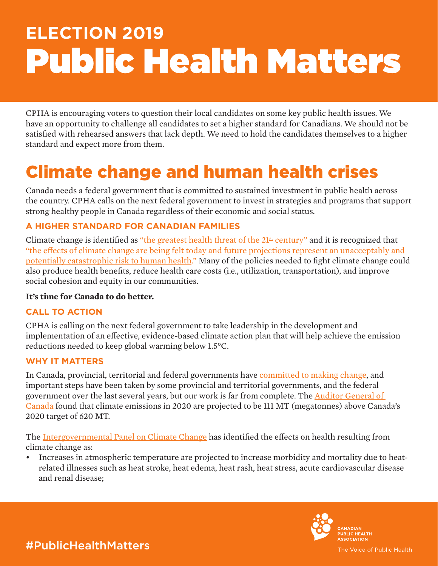# **ELECTION 2019** Public Health Matters

CPHA is encouraging voters to question their local candidates on some key public health issues. We have an opportunity to challenge all candidates to set a higher standard for Canadians. We should not be satisfied with rehearsed answers that lack depth. We need to hold the candidates themselves to a higher standard and expect more from them.

# Climate change and human health crises

Canada needs a federal government that is committed to sustained investment in public health across the country. CPHA calls on the next federal government to invest in strategies and programs that support strong healthy people in Canada regardless of their economic and social status.

# **A HIGHER STANDARD FOR CANADIAN FAMILIES**

Climate change is identified as "the greatest health threat of the  $21<sup>st</sup>$  century" and it is recognized that ["the effects of climate change are being felt today and future projections represent an unacceptably and](https://www.thelancet.com/commissions/planetary-health)  [potentially catastrophic risk to human health.](https://www.thelancet.com/commissions/planetary-health)" Many of the policies needed to fight climate change could also produce health benefits, reduce health care costs (i.e., utilization, transportation), and improve social cohesion and equity in our communities.

# **It's time for Canada to do better.**

# **CALL TO ACTION**

CPHA is calling on the next federal government to take leadership in the development and implementation of an effective, evidence-based climate action plan that will help achieve the emission reductions needed to keep global warming below 1.5°C.

#### **WHY IT MATTERS**

In Canada, provincial, territorial and federal governments have [committed to making change](http://publications.gc.ca/collections/collection_2017/eccc/En4-294-2016-eng.pdf), and important steps have been taken by some provincial and territorial governments, and the federal government over the last several years, but our work is far from complete. The [Auditor General of](http://www.oag-bvg.gc.ca/internet/English/parl_otp_201803_e_42883.html)  [Canada](http://www.oag-bvg.gc.ca/internet/English/parl_otp_201803_e_42883.html) found that climate emissions in 2020 are projected to be 111 MT (megatonnes) above Canada's 2020 target of 620 MT.

The [Intergovernmental Panel on Climate Change](https://www.ipcc.ch/sr15/) has identified the effects on health resulting from climate change as:

• Increases in atmospheric temperature are projected to increase morbidity and mortality due to heatrelated illnesses such as heat stroke, heat edema, heat rash, heat stress, acute cardiovascular disease and renal disease;



#PublicHealthMatters

The Voice of Public Health